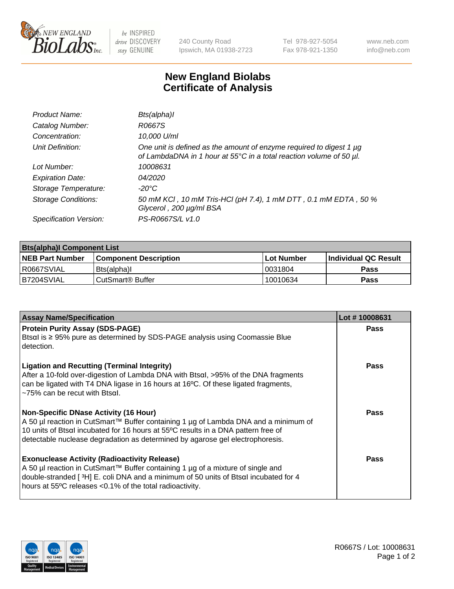

 $be$  INSPIRED drive DISCOVERY stay GENUINE

240 County Road Ipswich, MA 01938-2723 Tel 978-927-5054 Fax 978-921-1350 www.neb.com info@neb.com

## **New England Biolabs Certificate of Analysis**

| Product Name:              | Bts(alpha)I                                                                                                                                     |
|----------------------------|-------------------------------------------------------------------------------------------------------------------------------------------------|
| Catalog Number:            | R0667S                                                                                                                                          |
| Concentration:             | 10,000 U/ml                                                                                                                                     |
| Unit Definition:           | One unit is defined as the amount of enzyme required to digest 1 $\mu$ g<br>of LambdaDNA in 1 hour at 55°C in a total reaction volume of 50 µl. |
| Lot Number:                | 10008631                                                                                                                                        |
| <b>Expiration Date:</b>    | 04/2020                                                                                                                                         |
| Storage Temperature:       | -20°C                                                                                                                                           |
| <b>Storage Conditions:</b> | 50 mM KCI, 10 mM Tris-HCI (pH 7.4), 1 mM DTT, 0.1 mM EDTA, 50 %<br>Glycerol, 200 µg/ml BSA                                                      |
| Specification Version:     | PS-R0667S/L v1.0                                                                                                                                |

| <b>Bts(alpha)I Component List</b> |                              |            |                             |  |  |
|-----------------------------------|------------------------------|------------|-----------------------------|--|--|
| <b>NEB Part Number</b>            | <b>Component Description</b> | Lot Number | <b>Individual QC Result</b> |  |  |
| R0667SVIAL                        | Bts(alpha)I                  | 10031804   | Pass                        |  |  |
| B7204SVIAL                        | CutSmart <sup>®</sup> Buffer | 10010634   | Pass                        |  |  |

| <b>Assay Name/Specification</b>                                                                                                                                                                                                                                                                           | Lot #10008631 |
|-----------------------------------------------------------------------------------------------------------------------------------------------------------------------------------------------------------------------------------------------------------------------------------------------------------|---------------|
| <b>Protein Purity Assay (SDS-PAGE)</b><br>Btsal is ≥ 95% pure as determined by SDS-PAGE analysis using Coomassie Blue<br>detection.                                                                                                                                                                       | <b>Pass</b>   |
| <b>Ligation and Recutting (Terminal Integrity)</b><br>After a 10-fold over-digestion of Lambda DNA with Btsal, >95% of the DNA fragments<br>can be ligated with T4 DNA ligase in 16 hours at 16°C. Of these ligated fragments,<br>$\approx$ 75% can be recut with Btsql.                                  | <b>Pass</b>   |
| <b>Non-Specific DNase Activity (16 Hour)</b><br>A 50 µl reaction in CutSmart™ Buffer containing 1 µg of Lambda DNA and a minimum of<br>10 units of Btsal incubated for 16 hours at 55°C results in a DNA pattern free of<br>detectable nuclease degradation as determined by agarose gel electrophoresis. | Pass          |
| <b>Exonuclease Activity (Radioactivity Release)</b><br>A 50 µl reaction in CutSmart™ Buffer containing 1 µg of a mixture of single and<br>double-stranded [3H] E. coli DNA and a minimum of 50 units of Btsal incubated for 4<br>hours at 55°C releases <0.1% of the total radioactivity.                 | Pass          |